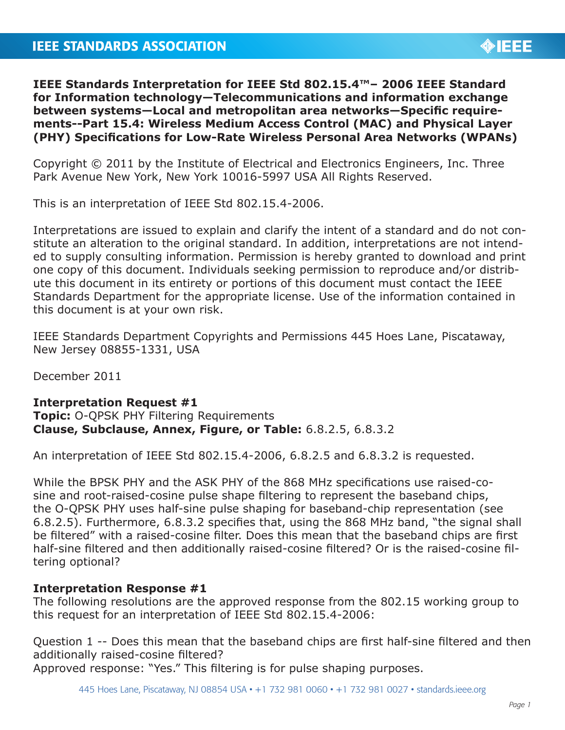

**IEEE Standards Interpretation for IEEE Std 802.15.4™– 2006 IEEE Standard for Information technology—Telecommunications and information exchange between systems—Local and metropolitan area networks—Specific requirements--Part 15.4: Wireless Medium Access Control (MAC) and Physical Layer (PHY) Specifications for Low-Rate Wireless Personal Area Networks (WPANs)**

Copyright © 2011 by the Institute of Electrical and Electronics Engineers, Inc. Three Park Avenue New York, New York 10016-5997 USA All Rights Reserved.

This is an interpretation of IEEE Std 802.15.4-2006.

Interpretations are issued to explain and clarify the intent of a standard and do not constitute an alteration to the original standard. In addition, interpretations are not intended to supply consulting information. Permission is hereby granted to download and print one copy of this document. Individuals seeking permission to reproduce and/or distribute this document in its entirety or portions of this document must contact the IEEE Standards Department for the appropriate license. Use of the information contained in this document is at your own risk.

IEEE Standards Department Copyrights and Permissions 445 Hoes Lane, Piscataway, New Jersey 08855-1331, USA

December 2011

## **Interpretation Request #1**

**Topic:** O-QPSK PHY Filtering Requirements **Clause, Subclause, Annex, Figure, or Table:** 6.8.2.5, 6.8.3.2

An interpretation of IEEE Std 802.15.4-2006, 6.8.2.5 and 6.8.3.2 is requested.

While the BPSK PHY and the ASK PHY of the 868 MHz specifications use raised-cosine and root-raised-cosine pulse shape filtering to represent the baseband chips, the O-QPSK PHY uses half-sine pulse shaping for baseband-chip representation (see 6.8.2.5). Furthermore, 6.8.3.2 specifies that, using the 868 MHz band, "the signal shall be filtered" with a raised-cosine filter. Does this mean that the baseband chips are first half-sine filtered and then additionally raised-cosine filtered? Or is the raised-cosine filtering optional?

## **Interpretation Response #1**

The following resolutions are the approved response from the 802.15 working group to this request for an interpretation of IEEE Std 802.15.4-2006:

Question 1 -- Does this mean that the baseband chips are first half-sine filtered and then additionally raised-cosine filtered?

Approved response: "Yes." This filtering is for pulse shaping purposes.